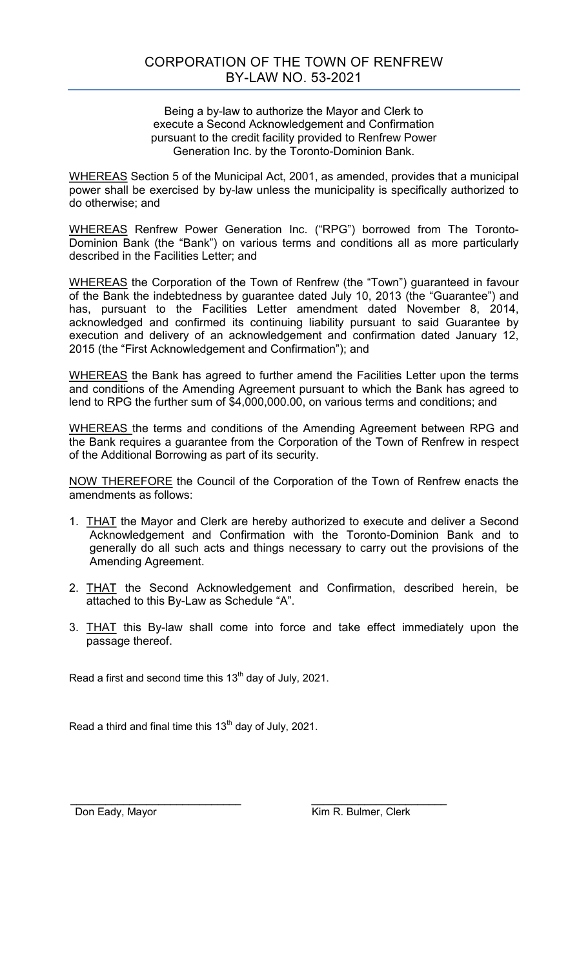Being a by-law to authorize the Mayor and Clerk to execute a Second Acknowledgement and Confirmation pursuant to the credit facility provided to Renfrew Power Generation Inc. by the Toronto-Dominion Bank.

WHEREAS Section 5 of the Municipal Act, 2001, as amended, provides that a municipal power shall be exercised by by-law unless the municipality is specifically authorized to do otherwise; and

WHEREAS Renfrew Power Generation Inc. ("RPG") borrowed from The Toronto-Dominion Bank (the "Bank") on various terms and conditions all as more particularly described in the Facilities Letter; and

WHEREAS the Corporation of the Town of Renfrew (the "Town") guaranteed in favour of the Bank the indebtedness by guarantee dated July 10, 2013 (the "Guarantee") and has, pursuant to the Facilities Letter amendment dated November 8, 2014, acknowledged and confirmed its continuing liability pursuant to said Guarantee by execution and delivery of an acknowledgement and confirmation dated January 12, 2015 (the "First Acknowledgement and Confirmation"); and

WHEREAS the Bank has agreed to further amend the Facilities Letter upon the terms and conditions of the Amending Agreement pursuant to which the Bank has agreed to lend to RPG the further sum of \$4,000,000.00, on various terms and conditions; and

WHEREAS the terms and conditions of the Amending Agreement between RPG and the Bank requires a guarantee from the Corporation of the Town of Renfrew in respect of the Additional Borrowing as part of its security.

NOW THEREFORE the Council of the Corporation of the Town of Renfrew enacts the amendments as follows:

- 1. THAT the Mayor and Clerk are hereby authorized to execute and deliver a Second Acknowledgement and Confirmation with the Toronto-Dominion Bank and to generally do all such acts and things necessary to carry out the provisions of the Amending Agreement.
- 2. THAT the Second Acknowledgement and Confirmation, described herein, be attached to this By-Law as Schedule "A".
- 3. THAT this By-law shall come into force and take effect immediately upon the passage thereof.

Read a first and second time this  $13<sup>th</sup>$  day of July, 2021.

Read a third and final time this  $13<sup>th</sup>$  day of July, 2021.

 \_\_\_\_\_\_\_\_\_\_\_\_\_\_\_\_\_\_\_\_\_\_\_\_\_\_\_\_\_ \_\_\_\_\_\_\_\_\_\_\_\_\_\_\_\_\_\_\_\_\_\_\_ Don Eady, Mayor *Network* **Kim R. Bulmer, Clerk**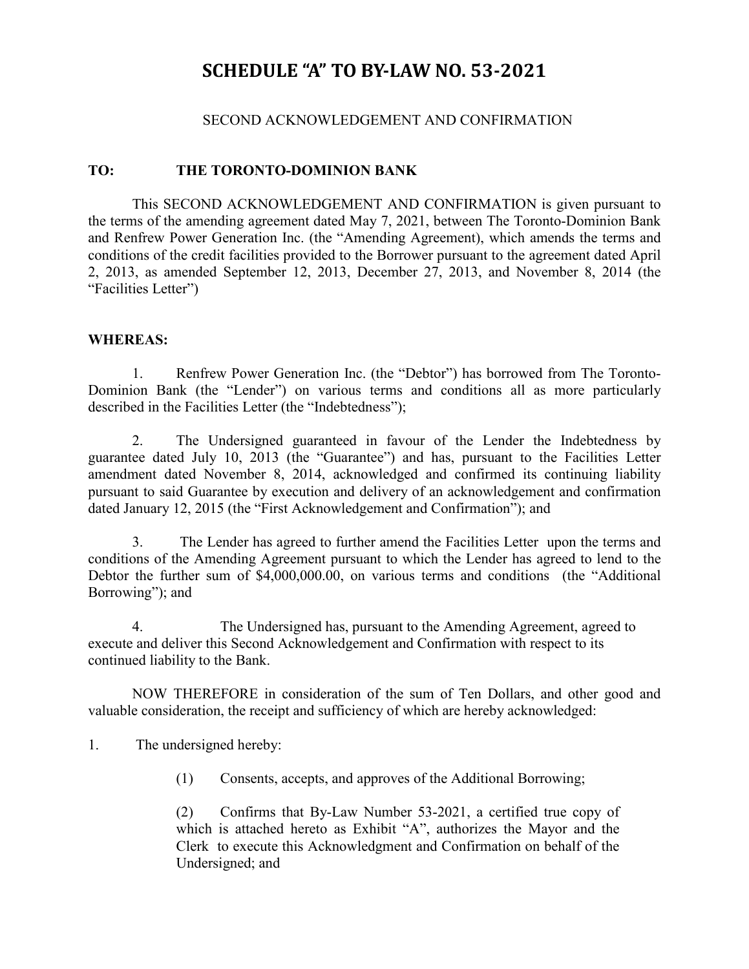## **SCHEDULE "A" TO BY-LAW NO. 53-2021**

## SECOND ACKNOWLEDGEMENT AND CONFIRMATION

## **TO: THE TORONTO-DOMINION BANK**

This SECOND ACKNOWLEDGEMENT AND CONFIRMATION is given pursuant to the terms of the amending agreement dated May 7, 2021, between The Toronto-Dominion Bank and Renfrew Power Generation Inc. (the "Amending Agreement), which amends the terms and conditions of the credit facilities provided to the Borrower pursuant to the agreement dated April 2, 2013, as amended September 12, 2013, December 27, 2013, and November 8, 2014 (the "Facilities Letter")

## **WHEREAS:**

 1. Renfrew Power Generation Inc. (the "Debtor") has borrowed from The Toronto-Dominion Bank (the "Lender") on various terms and conditions all as more particularly described in the Facilities Letter (the "Indebtedness");

 2. The Undersigned guaranteed in favour of the Lender the Indebtedness by guarantee dated July 10, 2013 (the "Guarantee") and has, pursuant to the Facilities Letter amendment dated November 8, 2014, acknowledged and confirmed its continuing liability pursuant to said Guarantee by execution and delivery of an acknowledgement and confirmation dated January 12, 2015 (the "First Acknowledgement and Confirmation"); and

 3. The Lender has agreed to further amend the Facilities Letter upon the terms and conditions of the Amending Agreement pursuant to which the Lender has agreed to lend to the Debtor the further sum of \$4,000,000.00, on various terms and conditions (the "Additional Borrowing"); and

4. The Undersigned has, pursuant to the Amending Agreement, agreed to execute and deliver this Second Acknowledgement and Confirmation with respect to its continued liability to the Bank.

 NOW THEREFORE in consideration of the sum of Ten Dollars, and other good and valuable consideration, the receipt and sufficiency of which are hereby acknowledged:

1. The undersigned hereby:

(1) Consents, accepts, and approves of the Additional Borrowing;

 (2) Confirms that By-Law Number 53-2021, a certified true copy of which is attached hereto as Exhibit "A", authorizes the Mayor and the Clerk to execute this Acknowledgment and Confirmation on behalf of the Undersigned; and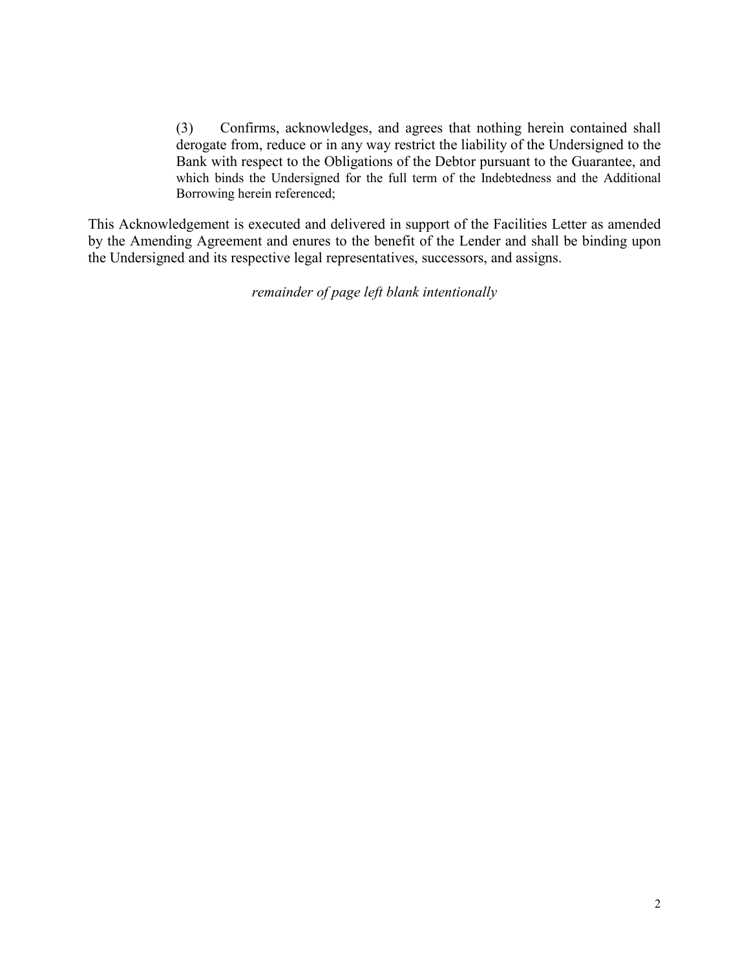(3) Confirms, acknowledges, and agrees that nothing herein contained shall derogate from, reduce or in any way restrict the liability of the Undersigned to the Bank with respect to the Obligations of the Debtor pursuant to the Guarantee, and which binds the Undersigned for the full term of the Indebtedness and the Additional Borrowing herein referenced;

This Acknowledgement is executed and delivered in support of the Facilities Letter as amended by the Amending Agreement and enures to the benefit of the Lender and shall be binding upon the Undersigned and its respective legal representatives, successors, and assigns.

*remainder of page left blank intentionally*